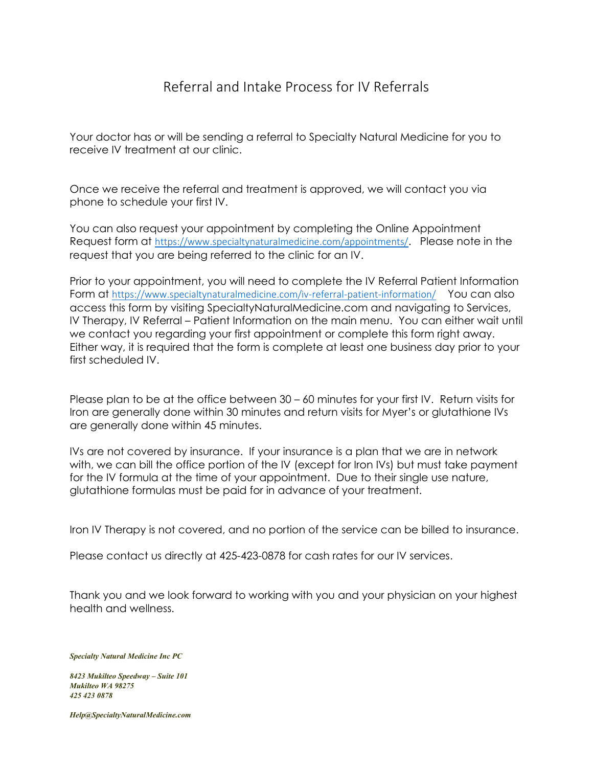### Referral and Intake Process for IV Referrals

Your doctor has or will be sending a referral to Specialty Natural Medicine for you to receive IV treatment at our clinic.

Once we receive the referral and treatment is approved, we will contact you via phone to schedule your first IV.

You can also request your appointment by completing the Online Appointment Request form at <https://www.specialtynaturalmedicine.com/appointments/>. Please note in the request that you are being referred to the clinic for an IV.

Prior to your appointment, you will need to complete the IV Referral Patient Information Form at <https://www.specialtynaturalmedicine.com/iv-referral-patient-information/> You can also access this form by visiting SpecialtyNaturalMedicine.com and navigating to Services, IV Therapy, IV Referral – Patient Information on the main menu. You can either wait until we contact you regarding your first appointment or complete this form right away. Either way, it is required that the form is complete at least one business day prior to your first scheduled IV.

Please plan to be at the office between 30 – 60 minutes for your first IV. Return visits for Iron are generally done within 30 minutes and return visits for Myer's or glutathione IVs are generally done within 45 minutes.

IVs are not covered by insurance. If your insurance is a plan that we are in network with, we can bill the office portion of the IV (except for Iron IVs) but must take payment for the IV formula at the time of your appointment. Due to their single use nature, glutathione formulas must be paid for in advance of your treatment.

Iron IV Therapy is not covered, and no portion of the service can be billed to insurance.

Please contact us directly at 425-423-0878 for cash rates for our IV services.

Thank you and we look forward to working with you and your physician on your highest health and wellness.

*Specialty Natural Medicine Inc PC* 

*8423 Mukilteo Speedway – Suite 101 Mukilteo WA 98275 425 423 0878*

*Help@SpecialtyNaturalMedicine.com*